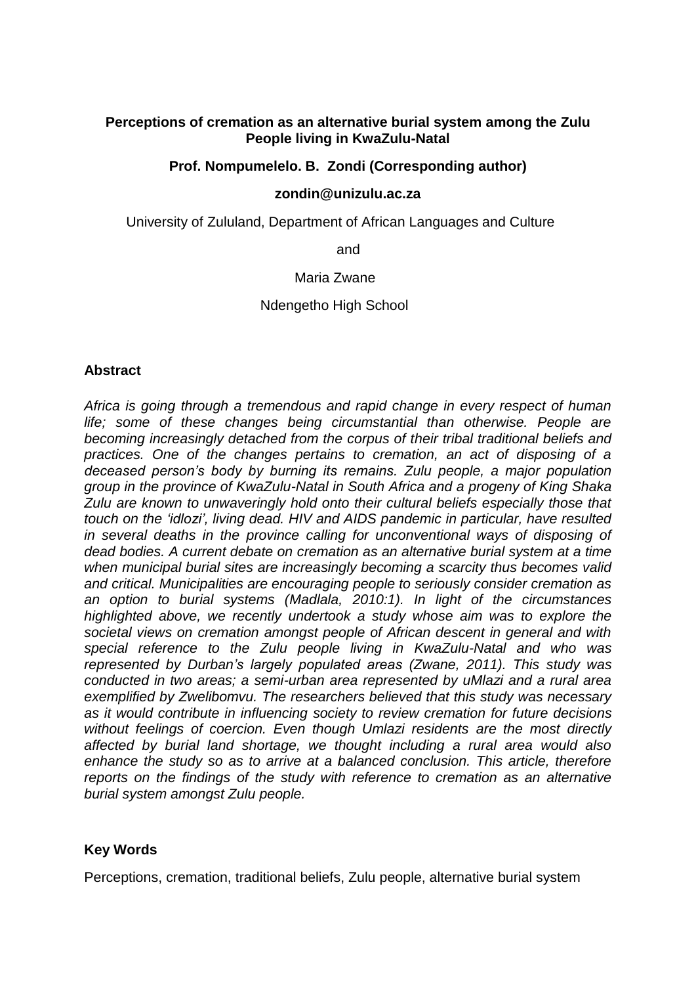# **Perceptions of cremation as an alternative burial system among the Zulu People living in KwaZulu-Natal**

## **Prof. Nompumelelo. B. Zondi (Corresponding author)**

#### **zondin@unizulu.ac.za**

University of Zululand, Department of African Languages and Culture

and

#### Maria Zwane

## Ndengetho High School

## **Abstract**

*Africa is going through a tremendous and rapid change in every respect of human life; some of these changes being circumstantial than otherwise. People are becoming increasingly detached from the corpus of their tribal traditional beliefs and practices. One of the changes pertains to cremation, an act of disposing of a deceased person's body by burning its remains. Zulu people, a major population group in the province of KwaZulu-Natal in South Africa and a progeny of King Shaka Zulu are known to unwaveringly hold onto their cultural beliefs especially those that touch on the 'idlozi', living dead. HIV and AIDS pandemic in particular, have resulted in several deaths in the province calling for unconventional ways of disposing of dead bodies. A current debate on cremation as an alternative burial system at a time when municipal burial sites are increasingly becoming a scarcity thus becomes valid and critical. Municipalities are encouraging people to seriously consider cremation as an option to burial systems (Madlala, 2010:1). In light of the circumstances highlighted above, we recently undertook a study whose aim was to explore the societal views on cremation amongst people of African descent in general and with special reference to the Zulu people living in KwaZulu-Natal and who was represented by Durban's largely populated areas (Zwane, 2011). This study was conducted in two areas; a semi-urban area represented by uMlazi and a rural area exemplified by Zwelibomvu. The researchers believed that this study was necessary as it would contribute in influencing society to review cremation for future decisions without feelings of coercion. Even though Umlazi residents are the most directly affected by burial land shortage, we thought including a rural area would also enhance the study so as to arrive at a balanced conclusion. This article, therefore reports on the findings of the study with reference to cremation as an alternative burial system amongst Zulu people.* 

## **Key Words**

Perceptions, cremation, traditional beliefs, Zulu people, alternative burial system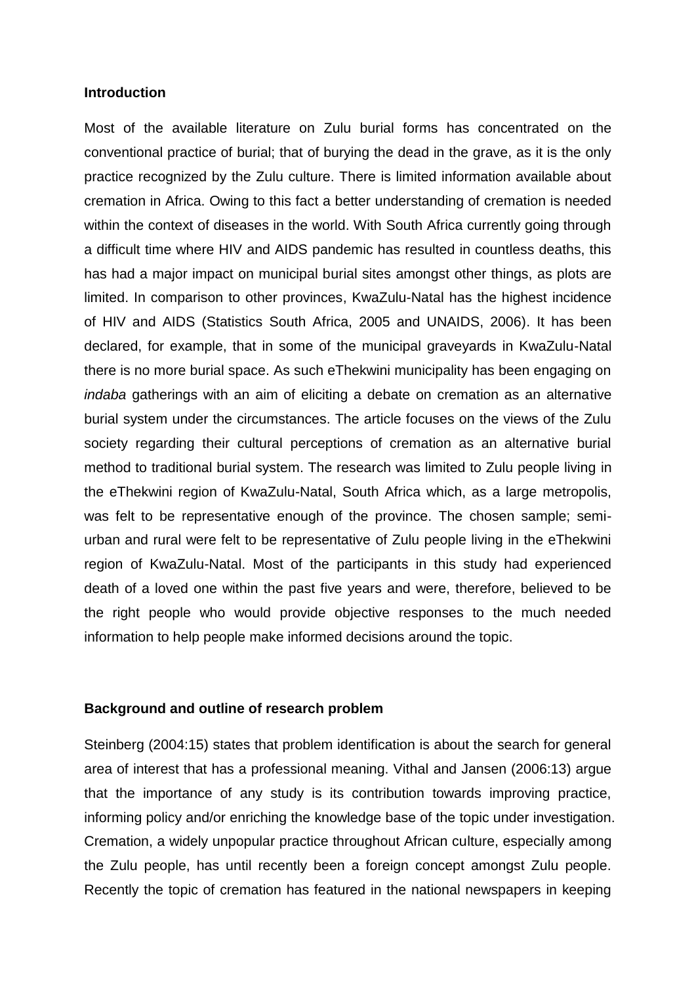#### **Introduction**

Most of the available literature on Zulu burial forms has concentrated on the conventional practice of burial; that of burying the dead in the grave, as it is the only practice recognized by the Zulu culture. There is limited information available about cremation in Africa. Owing to this fact a better understanding of cremation is needed within the context of diseases in the world. With South Africa currently going through a difficult time where HIV and AIDS pandemic has resulted in countless deaths, this has had a major impact on municipal burial sites amongst other things, as plots are limited. In comparison to other provinces, KwaZulu-Natal has the highest incidence of HIV and AIDS (Statistics South Africa, 2005 and UNAIDS, 2006). It has been declared, for example, that in some of the municipal graveyards in KwaZulu-Natal there is no more burial space. As such eThekwini municipality has been engaging on *indaba* gatherings with an aim of eliciting a debate on cremation as an alternative burial system under the circumstances. The article focuses on the views of the Zulu society regarding their cultural perceptions of cremation as an alternative burial method to traditional burial system. The research was limited to Zulu people living in the eThekwini region of KwaZulu-Natal, South Africa which, as a large metropolis, was felt to be representative enough of the province. The chosen sample; semiurban and rural were felt to be representative of Zulu people living in the eThekwini region of KwaZulu-Natal. Most of the participants in this study had experienced death of a loved one within the past five years and were, therefore, believed to be the right people who would provide objective responses to the much needed information to help people make informed decisions around the topic.

## **Background and outline of research problem**

Steinberg (2004:15) states that problem identification is about the search for general area of interest that has a professional meaning. Vithal and Jansen (2006:13) argue that the importance of any study is its contribution towards improving practice, informing policy and/or enriching the knowledge base of the topic under investigation. Cremation, a widely unpopular practice throughout African culture, especially among the Zulu people, has until recently been a foreign concept amongst Zulu people. Recently the topic of cremation has featured in the national newspapers in keeping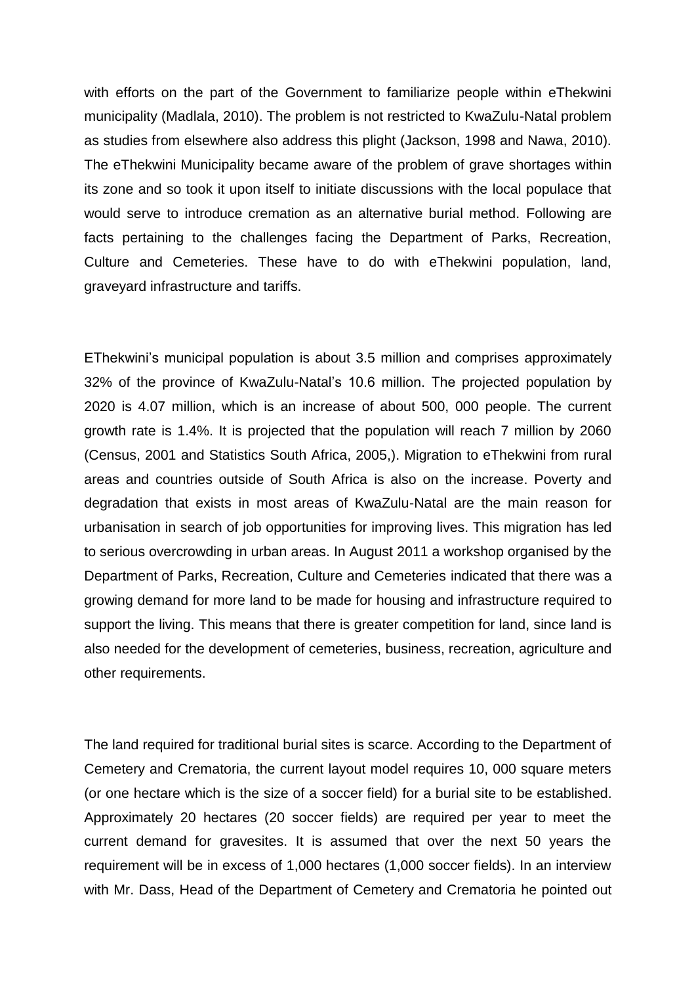with efforts on the part of the Government to familiarize people within eThekwini municipality (Madlala, 2010). The problem is not restricted to KwaZulu-Natal problem as studies from elsewhere also address this plight (Jackson, 1998 and Nawa, 2010). The eThekwini Municipality became aware of the problem of grave shortages within its zone and so took it upon itself to initiate discussions with the local populace that would serve to introduce cremation as an alternative burial method. Following are facts pertaining to the challenges facing the Department of Parks, Recreation, Culture and Cemeteries. These have to do with eThekwini population, land, graveyard infrastructure and tariffs.

EThekwini's municipal population is about 3.5 million and comprises approximately 32% of the province of KwaZulu-Natal's 10.6 million. The projected population by 2020 is 4.07 million, which is an increase of about 500, 000 people. The current growth rate is 1.4%. It is projected that the population will reach 7 million by 2060 (Census, 2001 and Statistics South Africa, 2005,). Migration to eThekwini from rural areas and countries outside of South Africa is also on the increase. Poverty and degradation that exists in most areas of KwaZulu-Natal are the main reason for urbanisation in search of job opportunities for improving lives. This migration has led to serious overcrowding in urban areas. In August 2011 a workshop organised by the Department of Parks, Recreation, Culture and Cemeteries indicated that there was a growing demand for more land to be made for housing and infrastructure required to support the living. This means that there is greater competition for land, since land is also needed for the development of cemeteries, business, recreation, agriculture and other requirements.

The land required for traditional burial sites is scarce. According to the Department of Cemetery and Crematoria, the current layout model requires 10, 000 square meters (or one hectare which is the size of a soccer field) for a burial site to be established. Approximately 20 hectares (20 soccer fields) are required per year to meet the current demand for gravesites. It is assumed that over the next 50 years the requirement will be in excess of 1,000 hectares (1,000 soccer fields). In an interview with Mr. Dass, Head of the Department of Cemetery and Crematoria he pointed out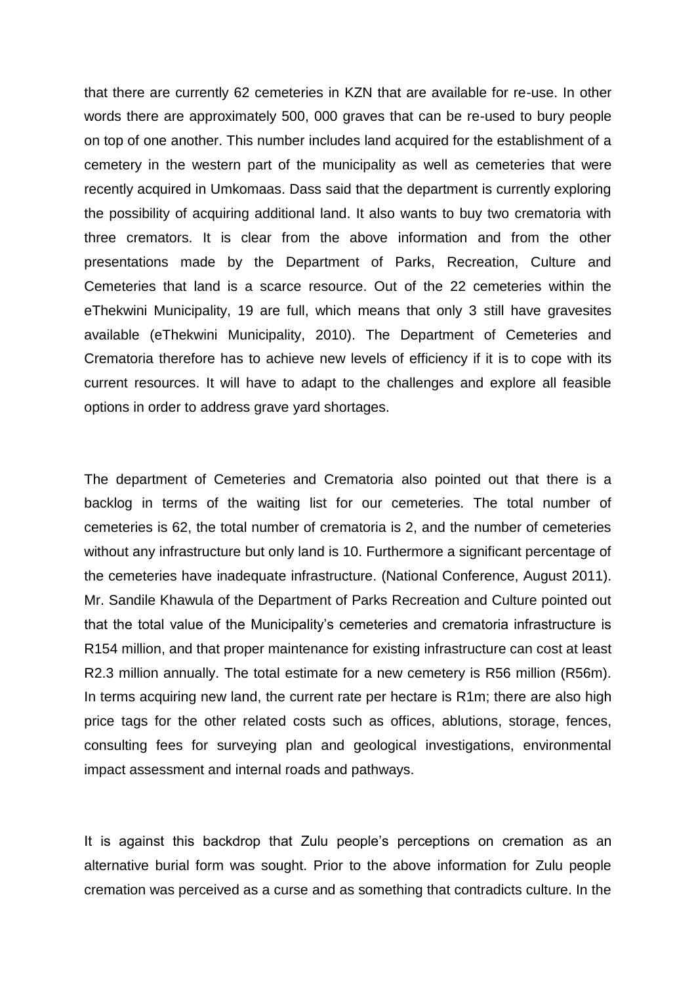that there are currently 62 cemeteries in KZN that are available for re-use. In other words there are approximately 500, 000 graves that can be re-used to bury people on top of one another. This number includes land acquired for the establishment of a cemetery in the western part of the municipality as well as cemeteries that were recently acquired in Umkomaas. Dass said that the department is currently exploring the possibility of acquiring additional land. It also wants to buy two crematoria with three cremators. It is clear from the above information and from the other presentations made by the Department of Parks, Recreation, Culture and Cemeteries that land is a scarce resource. Out of the 22 cemeteries within the eThekwini Municipality, 19 are full, which means that only 3 still have gravesites available (eThekwini Municipality, 2010). The Department of Cemeteries and Crematoria therefore has to achieve new levels of efficiency if it is to cope with its current resources. It will have to adapt to the challenges and explore all feasible options in order to address grave yard shortages.

The department of Cemeteries and Crematoria also pointed out that there is a backlog in terms of the waiting list for our cemeteries. The total number of cemeteries is 62, the total number of crematoria is 2, and the number of cemeteries without any infrastructure but only land is 10. Furthermore a significant percentage of the cemeteries have inadequate infrastructure. (National Conference, August 2011). Mr. Sandile Khawula of the Department of Parks Recreation and Culture pointed out that the total value of the Municipality's cemeteries and crematoria infrastructure is R154 million, and that proper maintenance for existing infrastructure can cost at least R2.3 million annually. The total estimate for a new cemetery is R56 million (R56m). In terms acquiring new land, the current rate per hectare is R1m; there are also high price tags for the other related costs such as offices, ablutions, storage, fences, consulting fees for surveying plan and geological investigations, environmental impact assessment and internal roads and pathways.

It is against this backdrop that Zulu people's perceptions on cremation as an alternative burial form was sought. Prior to the above information for Zulu people cremation was perceived as a curse and as something that contradicts culture. In the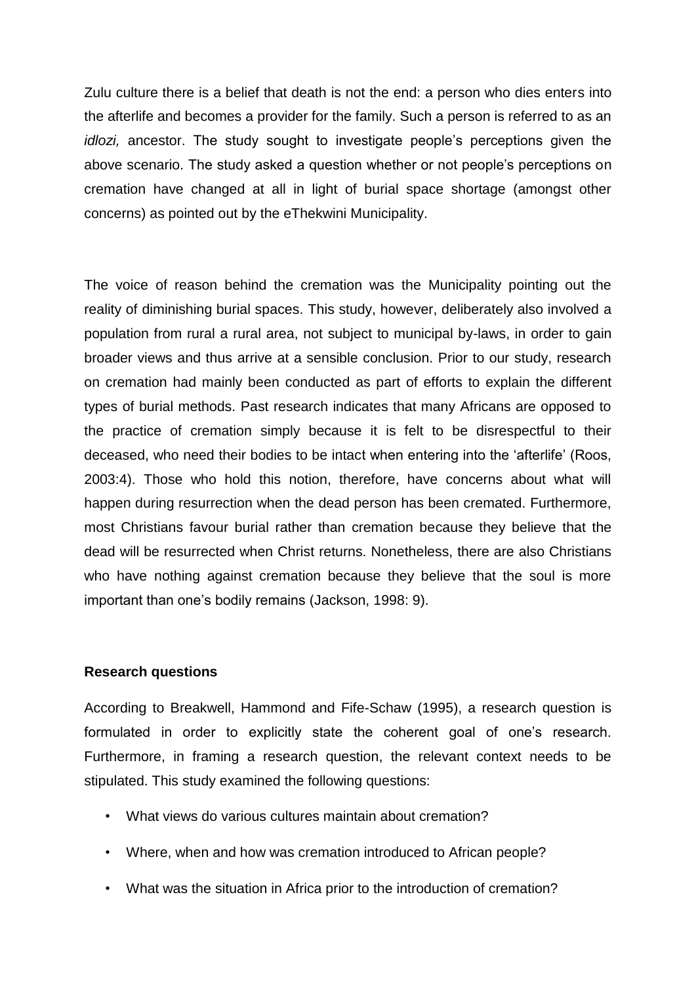Zulu culture there is a belief that death is not the end: a person who dies enters into the afterlife and becomes a provider for the family. Such a person is referred to as an *idlozi,* ancestor. The study sought to investigate people's perceptions given the above scenario. The study asked a question whether or not people's perceptions on cremation have changed at all in light of burial space shortage (amongst other concerns) as pointed out by the eThekwini Municipality.

The voice of reason behind the cremation was the Municipality pointing out the reality of diminishing burial spaces. This study, however, deliberately also involved a population from rural a rural area, not subject to municipal by-laws, in order to gain broader views and thus arrive at a sensible conclusion. Prior to our study, research on cremation had mainly been conducted as part of efforts to explain the different types of burial methods. Past research indicates that many Africans are opposed to the practice of cremation simply because it is felt to be disrespectful to their deceased, who need their bodies to be intact when entering into the 'afterlife' (Roos, 2003:4). Those who hold this notion, therefore, have concerns about what will happen during resurrection when the dead person has been cremated. Furthermore, most Christians favour burial rather than cremation because they believe that the dead will be resurrected when Christ returns. Nonetheless, there are also Christians who have nothing against cremation because they believe that the soul is more important than one's bodily remains (Jackson, 1998: 9).

## **Research questions**

According to Breakwell, Hammond and Fife-Schaw (1995), a research question is formulated in order to explicitly state the coherent goal of one's research. Furthermore, in framing a research question, the relevant context needs to be stipulated. This study examined the following questions:

- What views do various cultures maintain about cremation?
- Where, when and how was cremation introduced to African people?
- What was the situation in Africa prior to the introduction of cremation?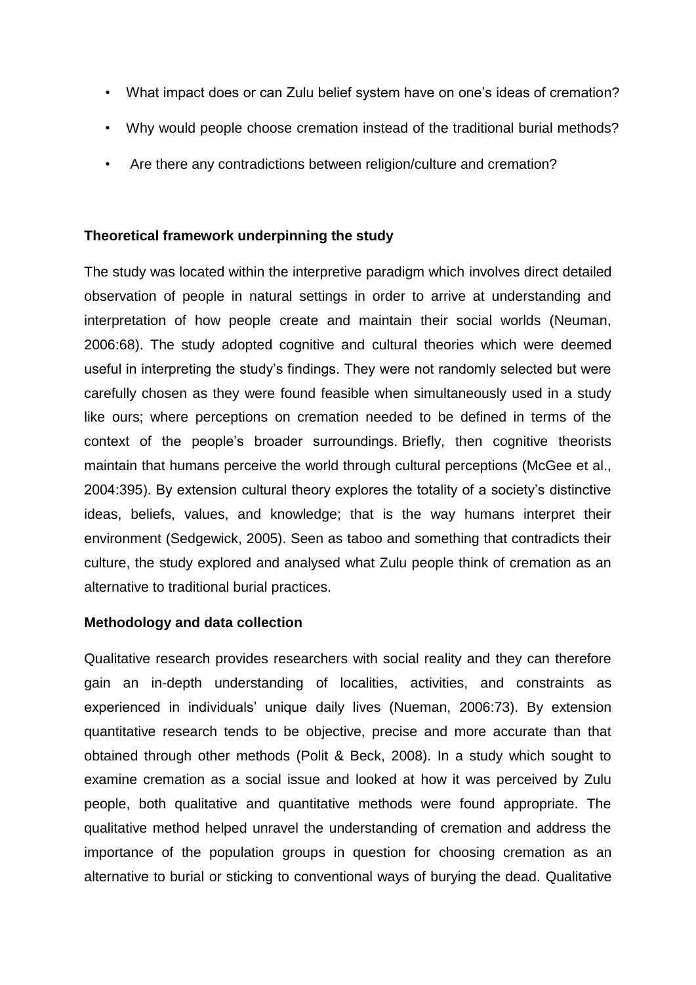- What impact does or can Zulu belief system have on one's ideas of cremation?
- Why would people choose cremation instead of the traditional burial methods?
- Are there any contradictions between religion/culture and cremation?

# **Theoretical framework underpinning the study**

The study was located within the interpretive paradigm which involves direct detailed observation of people in natural settings in order to arrive at understanding and interpretation of how people create and maintain their social worlds (Neuman, 2006:68). The study adopted cognitive and cultural theories which were deemed useful in interpreting the study's findings. They were not randomly selected but were carefully chosen as they were found feasible when simultaneously used in a study like ours; where perceptions on cremation needed to be defined in terms of the context of the people's broader surroundings. Briefly, then cognitive theorists maintain that humans perceive the world through cultural perceptions (McGee et al., 2004:395). By extension cultural theory explores the totality of a society's distinctive ideas, beliefs, values, and knowledge; that is the way humans interpret their environment (Sedgewick, 2005). Seen as taboo and something that contradicts their culture, the study explored and analysed what Zulu people think of cremation as an alternative to traditional burial practices.

# **Methodology and data collection**

Qualitative research provides researchers with social reality and they can therefore gain an in-depth understanding of localities, activities, and constraints as experienced in individuals' unique daily lives (Nueman, 2006:73). By extension quantitative research tends to be objective, precise and more accurate than that obtained through other methods (Polit & Beck, 2008). In a study which sought to examine cremation as a social issue and looked at how it was perceived by Zulu people, both qualitative and quantitative methods were found appropriate. The qualitative method helped unravel the understanding of cremation and address the importance of the population groups in question for choosing cremation as an alternative to burial or sticking to conventional ways of burying the dead. Qualitative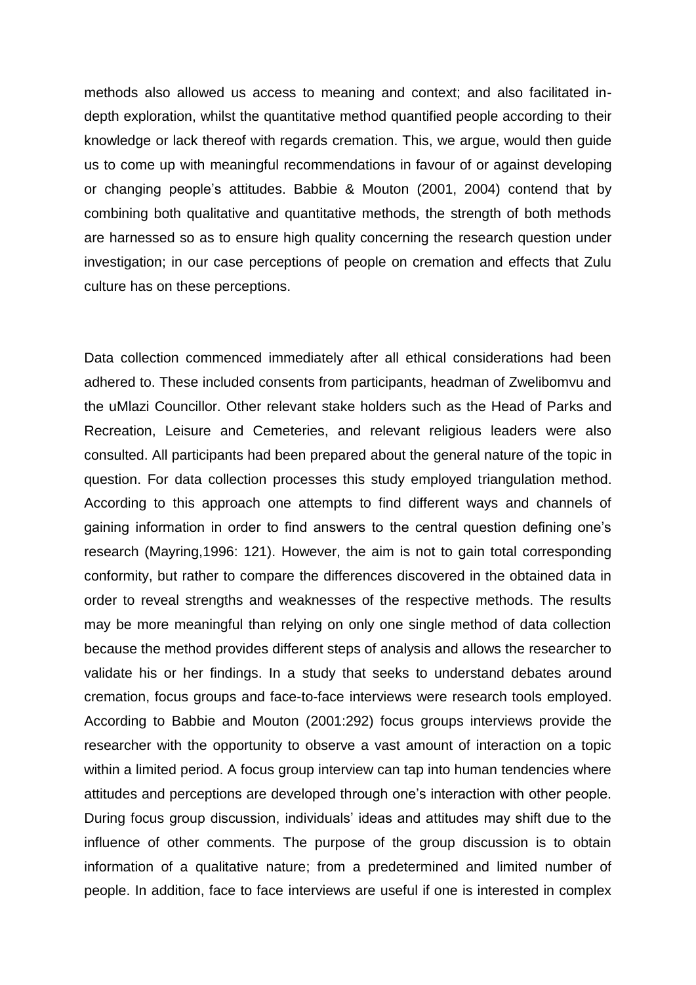methods also allowed us access to meaning and context; and also facilitated indepth exploration, whilst the quantitative method quantified people according to their knowledge or lack thereof with regards cremation. This, we argue, would then guide us to come up with meaningful recommendations in favour of or against developing or changing people's attitudes. Babbie & Mouton (2001, 2004) contend that by combining both qualitative and quantitative methods, the strength of both methods are harnessed so as to ensure high quality concerning the research question under investigation; in our case perceptions of people on cremation and effects that Zulu culture has on these perceptions.

Data collection commenced immediately after all ethical considerations had been adhered to. These included consents from participants, headman of Zwelibomvu and the uMlazi Councillor. Other relevant stake holders such as the Head of Parks and Recreation, Leisure and Cemeteries, and relevant religious leaders were also consulted. All participants had been prepared about the general nature of the topic in question. For data collection processes this study employed triangulation method. According to this approach one attempts to find different ways and channels of gaining information in order to find answers to the central question defining one's research (Mayring,1996: 121). However, the aim is not to gain total corresponding conformity, but rather to compare the differences discovered in the obtained data in order to reveal strengths and weaknesses of the respective methods. The results may be more meaningful than relying on only one single method of data collection because the method provides different steps of analysis and allows the researcher to validate his or her findings. In a study that seeks to understand debates around cremation, focus groups and face-to-face interviews were research tools employed. According to Babbie and Mouton (2001:292) focus groups interviews provide the researcher with the opportunity to observe a vast amount of interaction on a topic within a limited period. A focus group interview can tap into human tendencies where attitudes and perceptions are developed through one's interaction with other people. During focus group discussion, individuals' ideas and attitudes may shift due to the influence of other comments. The purpose of the group discussion is to obtain information of a qualitative nature; from a predetermined and limited number of people. In addition, face to face interviews are useful if one is interested in complex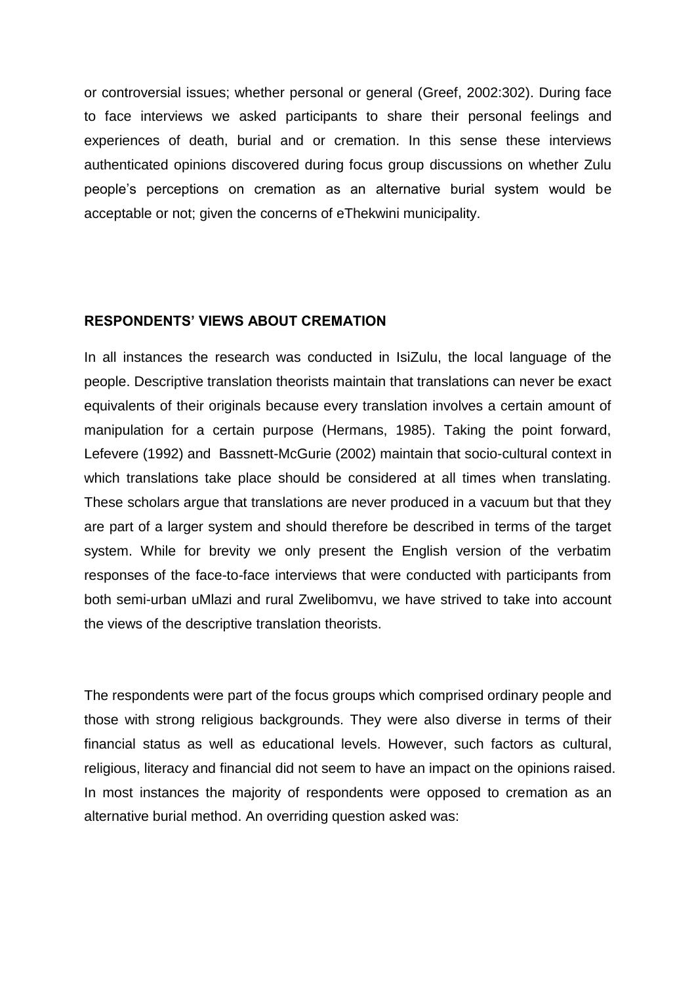or controversial issues; whether personal or general (Greef, 2002:302). During face to face interviews we asked participants to share their personal feelings and experiences of death, burial and or cremation. In this sense these interviews authenticated opinions discovered during focus group discussions on whether Zulu people's perceptions on cremation as an alternative burial system would be acceptable or not; given the concerns of eThekwini municipality.

## **RESPONDENTS' VIEWS ABOUT CREMATION**

In all instances the research was conducted in IsiZulu, the local language of the people. Descriptive translation theorists maintain that translations can never be exact equivalents of their originals because every translation involves a certain amount of manipulation for a certain purpose (Hermans, 1985). Taking the point forward, Lefevere (1992) and Bassnett-McGurie (2002) maintain that socio-cultural context in which translations take place should be considered at all times when translating. These scholars argue that translations are never produced in a vacuum but that they are part of a larger system and should therefore be described in terms of the target system. While for brevity we only present the English version of the verbatim responses of the face-to-face interviews that were conducted with participants from both semi-urban uMlazi and rural Zwelibomvu, we have strived to take into account the views of the descriptive translation theorists.

The respondents were part of the focus groups which comprised ordinary people and those with strong religious backgrounds. They were also diverse in terms of their financial status as well as educational levels. However, such factors as cultural, religious, literacy and financial did not seem to have an impact on the opinions raised. In most instances the majority of respondents were opposed to cremation as an alternative burial method. An overriding question asked was: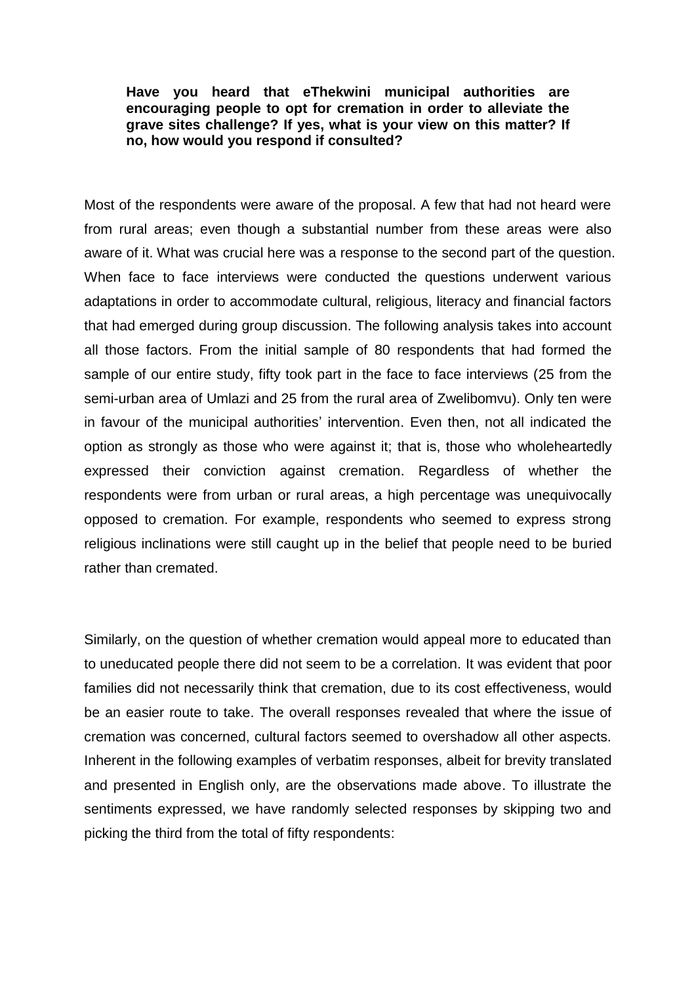## **Have you heard that eThekwini municipal authorities are encouraging people to opt for cremation in order to alleviate the grave sites challenge? If yes, what is your view on this matter? If no, how would you respond if consulted?**

Most of the respondents were aware of the proposal. A few that had not heard were from rural areas; even though a substantial number from these areas were also aware of it. What was crucial here was a response to the second part of the question. When face to face interviews were conducted the questions underwent various adaptations in order to accommodate cultural, religious, literacy and financial factors that had emerged during group discussion. The following analysis takes into account all those factors. From the initial sample of 80 respondents that had formed the sample of our entire study, fifty took part in the face to face interviews (25 from the semi-urban area of Umlazi and 25 from the rural area of Zwelibomvu). Only ten were in favour of the municipal authorities' intervention. Even then, not all indicated the option as strongly as those who were against it; that is, those who wholeheartedly expressed their conviction against cremation. Regardless of whether the respondents were from urban or rural areas, a high percentage was unequivocally opposed to cremation. For example, respondents who seemed to express strong religious inclinations were still caught up in the belief that people need to be buried rather than cremated.

Similarly, on the question of whether cremation would appeal more to educated than to uneducated people there did not seem to be a correlation. It was evident that poor families did not necessarily think that cremation, due to its cost effectiveness, would be an easier route to take. The overall responses revealed that where the issue of cremation was concerned, cultural factors seemed to overshadow all other aspects. Inherent in the following examples of verbatim responses, albeit for brevity translated and presented in English only, are the observations made above. To illustrate the sentiments expressed, we have randomly selected responses by skipping two and picking the third from the total of fifty respondents: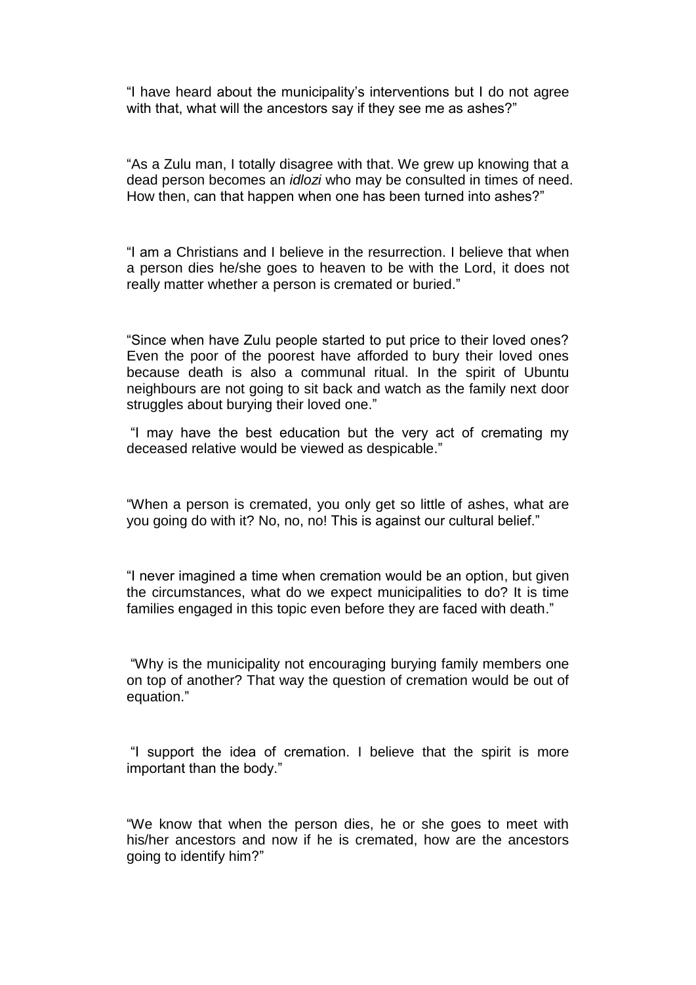"I have heard about the municipality's interventions but I do not agree with that, what will the ancestors say if they see me as ashes?"

"As a Zulu man, I totally disagree with that. We grew up knowing that a dead person becomes an *idlozi* who may be consulted in times of need. How then, can that happen when one has been turned into ashes?"

"I am a Christians and I believe in the resurrection. I believe that when a person dies he/she goes to heaven to be with the Lord, it does not really matter whether a person is cremated or buried."

"Since when have Zulu people started to put price to their loved ones? Even the poor of the poorest have afforded to bury their loved ones because death is also a communal ritual. In the spirit of Ubuntu neighbours are not going to sit back and watch as the family next door struggles about burying their loved one."

"I may have the best education but the very act of cremating my deceased relative would be viewed as despicable."

"When a person is cremated, you only get so little of ashes, what are you going do with it? No, no, no! This is against our cultural belief."

"I never imagined a time when cremation would be an option, but given the circumstances, what do we expect municipalities to do? It is time families engaged in this topic even before they are faced with death."

"Why is the municipality not encouraging burying family members one on top of another? That way the question of cremation would be out of equation."

"I support the idea of cremation. I believe that the spirit is more important than the body."

"We know that when the person dies, he or she goes to meet with his/her ancestors and now if he is cremated, how are the ancestors going to identify him?"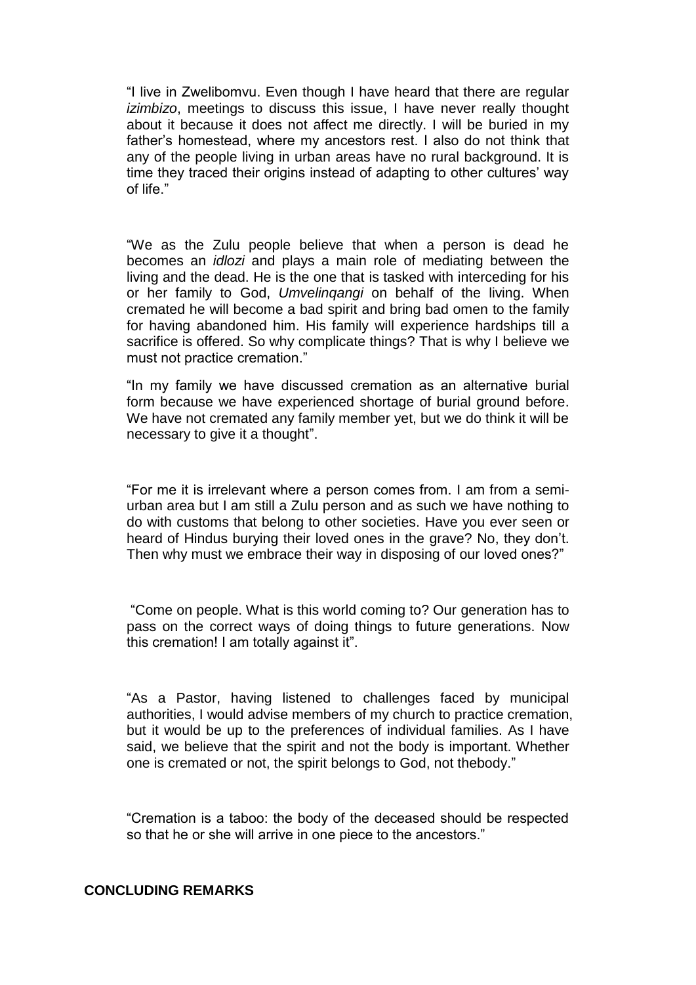"I live in Zwelibomvu. Even though I have heard that there are regular *izimbizo*, meetings to discuss this issue, I have never really thought about it because it does not affect me directly. I will be buried in my father's homestead, where my ancestors rest. I also do not think that any of the people living in urban areas have no rural background. It is time they traced their origins instead of adapting to other cultures' way of life."

"We as the Zulu people believe that when a person is dead he becomes an *idlozi* and plays a main role of mediating between the living and the dead. He is the one that is tasked with interceding for his or her family to God, *Umvelinqangi* on behalf of the living. When cremated he will become a bad spirit and bring bad omen to the family for having abandoned him. His family will experience hardships till a sacrifice is offered. So why complicate things? That is why I believe we must not practice cremation."

"In my family we have discussed cremation as an alternative burial form because we have experienced shortage of burial ground before. We have not cremated any family member yet, but we do think it will be necessary to give it a thought".

"For me it is irrelevant where a person comes from. I am from a semiurban area but I am still a Zulu person and as such we have nothing to do with customs that belong to other societies. Have you ever seen or heard of Hindus burying their loved ones in the grave? No, they don't. Then why must we embrace their way in disposing of our loved ones?"

"Come on people. What is this world coming to? Our generation has to pass on the correct ways of doing things to future generations. Now this cremation! I am totally against it".

"As a Pastor, having listened to challenges faced by municipal authorities, I would advise members of my church to practice cremation, but it would be up to the preferences of individual families. As I have said, we believe that the spirit and not the body is important. Whether one is cremated or not, the spirit belongs to God, not thebody."

"Cremation is a taboo: the body of the deceased should be respected so that he or she will arrive in one piece to the ancestors."

## **CONCLUDING REMARKS**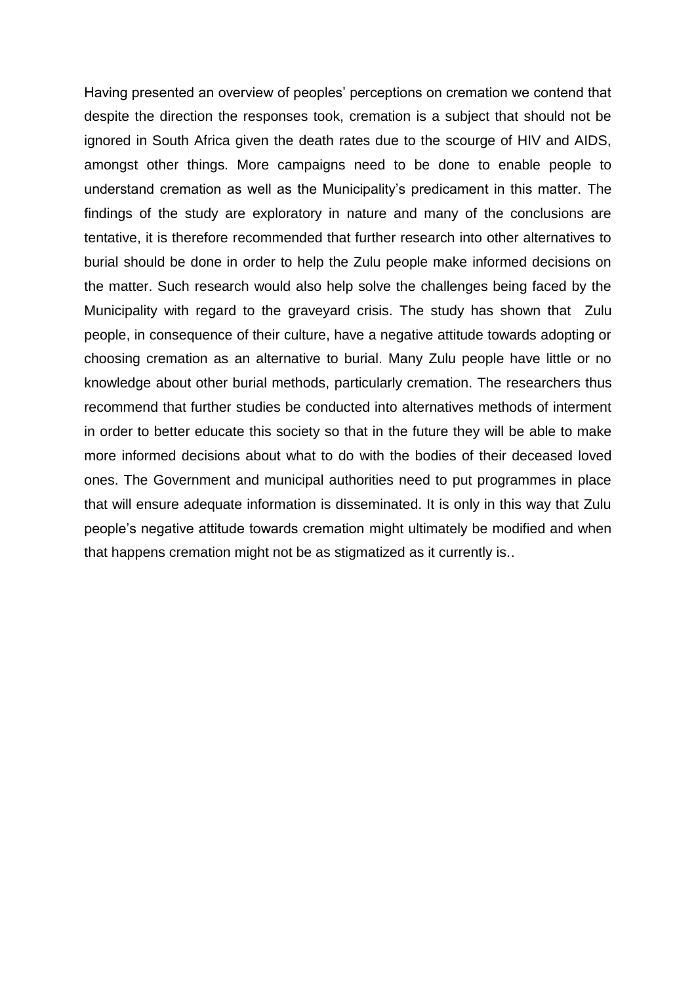Having presented an overview of peoples' perceptions on cremation we contend that despite the direction the responses took, cremation is a subject that should not be ignored in South Africa given the death rates due to the scourge of HIV and AIDS, amongst other things. More campaigns need to be done to enable people to understand cremation as well as the Municipality's predicament in this matter. The findings of the study are exploratory in nature and many of the conclusions are tentative, it is therefore recommended that further research into other alternatives to burial should be done in order to help the Zulu people make informed decisions on the matter. Such research would also help solve the challenges being faced by the Municipality with regard to the graveyard crisis. The study has shown that Zulu people, in consequence of their culture, have a negative attitude towards adopting or choosing cremation as an alternative to burial. Many Zulu people have little or no knowledge about other burial methods, particularly cremation. The researchers thus recommend that further studies be conducted into alternatives methods of interment in order to better educate this society so that in the future they will be able to make more informed decisions about what to do with the bodies of their deceased loved ones. The Government and municipal authorities need to put programmes in place that will ensure adequate information is disseminated. It is only in this way that Zulu people's negative attitude towards cremation might ultimately be modified and when that happens cremation might not be as stigmatized as it currently is..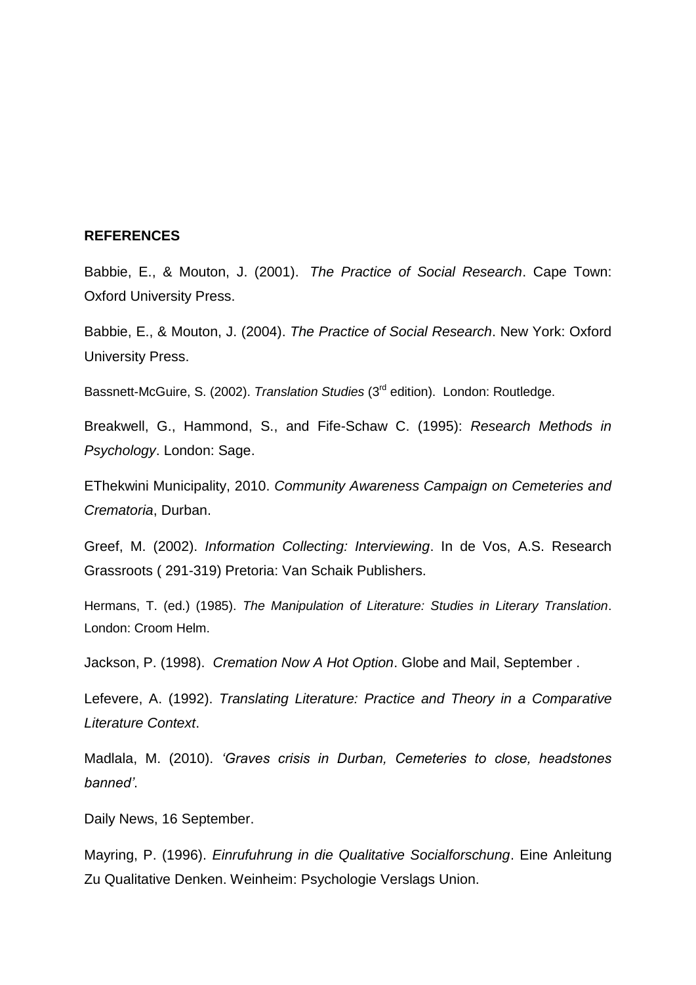## **REFERENCES**

Babbie, E., & Mouton, J. (2001). *The Practice of Social Research*. Cape Town: Oxford University Press.

Babbie, E., & Mouton, J. (2004). *The Practice of Social Research*. New York: Oxford University Press.

Bassnett-McGuire, S. (2002). *Translation Studies* (3rd edition). London: Routledge.

Breakwell, G., Hammond, S., and Fife-Schaw C. (1995): *Research Methods in Psychology*. London: Sage.

EThekwini Municipality, 2010. *Community Awareness Campaign on Cemeteries and Crematoria*, Durban.

Greef, M. (2002). *Information Collecting: Interviewing*. In de Vos, A.S. Research Grassroots ( 291-319) Pretoria: Van Schaik Publishers.

Hermans, T. (ed.) (1985). *The Manipulation of Literature: Studies in Literary Translation*. London: Croom Helm.

Jackson, P. (1998). *Cremation Now A Hot Option*. Globe and Mail, September .

Lefevere, A. (1992). *Translating Literature: Practice and Theory in a Comparative Literature Context*.

Madlala, M. (2010). *'Graves crisis in Durban, Cemeteries to close, headstones banned'*.

Daily News, 16 September.

Mayring, P. (1996). *Einrufuhrung in die Qualitative Socialforschung*. Eine Anleitung Zu Qualitative Denken. Weinheim: Psychologie Verslags Union.